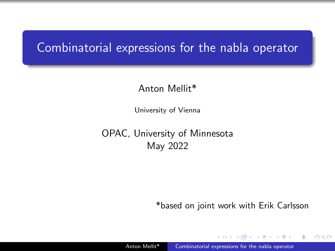### <span id="page-0-0"></span>Combinatorial expressions for the nabla operator

#### Anton Mellit\*

University of Vienna

OPAC, University of Minnesota May 2022

\*based on joint work with Erik Carlsson

化重变 化重

つへへ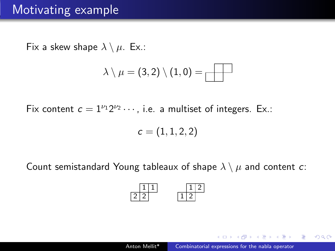### Motivating example

Fix a skew shape  $\lambda \setminus \mu$ . Ex.:

$$
\lambda\setminus\mu=(3,2)\setminus(1,0)=\boxed{\qquad \qquad }
$$

Fix content  $c = 1^{\nu_1} 2^{\nu_2} \cdots$ , i.e. a multiset of integers. Ex.:

$$
\boldsymbol{c}=(1,1,2,2)
$$

Count semistandard Young tableaux of shape  $\lambda \setminus \mu$  and content c:



a mara a mara

 $\Omega$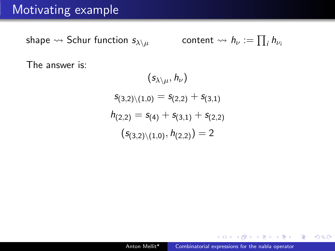### Motivating example

shape  $\rightsquigarrow$  Schur function  $s_{\lambda \setminus \mu}$  $i h_{\nu}$ 

The answer is:

$$
(s_{\lambda \setminus \mu}, h_{\nu})
$$
  
\n
$$
s_{(3,2)\setminus(1,0)} = s_{(2,2)} + s_{(3,1)}
$$
  
\n
$$
h_{(2,2)} = s_{(4)} + s_{(3,1)} + s_{(2,2)}
$$
  
\n
$$
(s_{(3,2)\setminus(1,0)}, h_{(2,2)}) = 2
$$

 $299$ 

э

同 ▶ イヨ ▶ イヨ ▶ │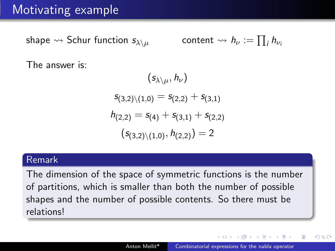## Motivating example

shape  $\rightsquigarrow$  Schur function  $s_{\lambda\setminus\mu}$  $i h_{\nu}$ 

The answer is:

$$
(s_{\lambda\setminus\mu}, h_{\nu})
$$
  
\n
$$
s_{(3,2)\setminus(1,0)} = s_{(2,2)} + s_{(3,1)}
$$
  
\n
$$
h_{(2,2)} = s_{(4)} + s_{(3,1)} + s_{(2,2)}
$$
  
\n
$$
(s_{(3,2)\setminus(1,0)}, h_{(2,2)}) = 2
$$

#### Remark

The dimension of the space of symmetric functions is the number of partitions, which is smaller than both the number of possible shapes and the number of possible contents. So there must be relations!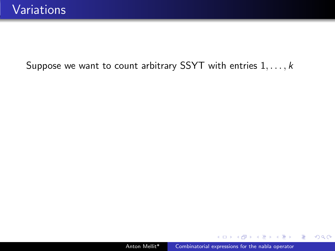4 17 18

 $\langle \overline{m} \rangle$  and  $\overline{m}$  and  $\overline{m}$  and  $\overline{m}$  and  $\overline{m}$ 

 $299$ 

э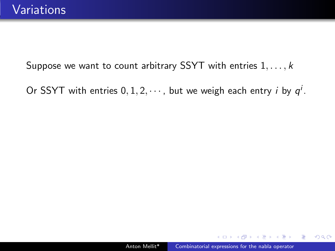Or SSYT with entries  $0, 1, 2, \cdots$ , but we weigh each entry *i* by  $q<sup>i</sup>$ .

伺 ▶ イヨ ▶ イヨ ▶

 $QQ$ 

э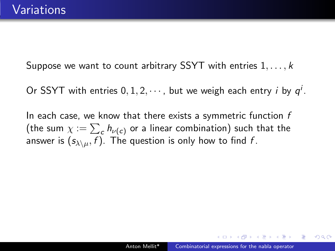Or SSYT with entries  $0, 1, 2, \cdots$ , but we weigh each entry *i* by  $q<sup>i</sup>$ .

In each case, we know that there exists a symmetric function  $f$ (the sum  $\chi := \sum_{\mathsf{c}} h_{\nu(\mathsf{c})}$  or a linear combination) such that the answer is  $(s_{\lambda\setminus\mu}, f)$ . The question is only how to find f.

**STEP AT LAND**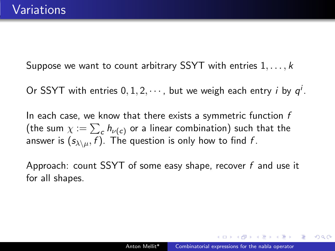Or SSYT with entries  $0, 1, 2, \cdots$ , but we weigh each entry *i* by  $q<sup>i</sup>$ .

In each case, we know that there exists a symmetric function  $f$ (the sum  $\chi := \sum_{\mathsf{c}} h_{\nu(\mathsf{c})}$  or a linear combination) such that the answer is  $(s_{\lambda\setminus u}, f)$ . The question is only how to find f.

Approach: count SSYT of some easy shape, recover f and use it for all shapes.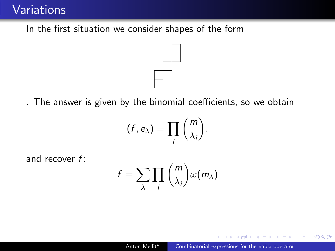### **Variations**

In the first situation we consider shapes of the form



. The answer is given by the binomial coefficients, so we obtain

$$
(f,e_\lambda)=\prod_i\binom{m}{\lambda_i}.
$$

and recover  $f$ :

$$
f = \sum_{\lambda} \prod_i \binom{m}{\lambda_i} \omega(m_{\lambda})
$$

÷

 $QQ$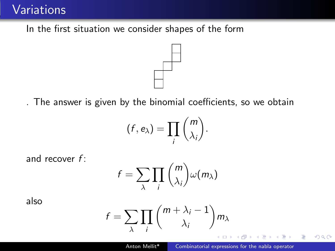### **Variations**

In the first situation we consider shapes of the form



. The answer is given by the binomial coefficients, so we obtain

$$
(f,e_\lambda)=\prod_i\binom{m}{\lambda_i}.
$$

and recover  $f$ :

$$
f = \sum_{\lambda} \prod_i \binom{m}{\lambda_i} \omega(m_{\lambda})
$$

also

$$
f = \sum_{\lambda} \prod_{i} \binom{m + \lambda_i - 1}{\lambda_i} m_{\lambda}
$$

÷

 $QQ$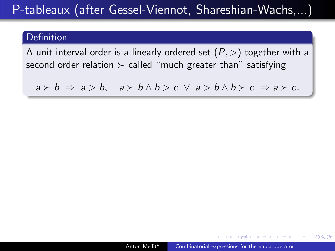#### Definition

A unit interval order is a linearly ordered set  $(P,>)$  together with a second order relation  $\succ$  called "much greater than" satisfying

 $a \succ b \Rightarrow a \gt b$ ,  $a \succ b \land b \gt c \lor a \gt b \land b \succ c \Rightarrow a \succ c$ .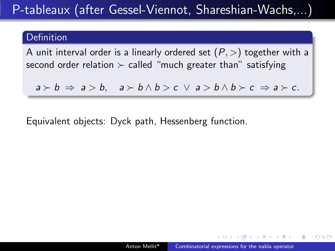#### Definition

A unit interval order is a linearly ordered set  $(P,>)$  together with a second order relation  $\succ$  called "much greater than" satisfying

 $a \succ b \Rightarrow a \gt b$ ,  $a \succ b \land b \gt c \lor a \gt b \land b \succ c \Rightarrow a \succ c$ .

Equivalent objects: Dyck path, Hessenberg function.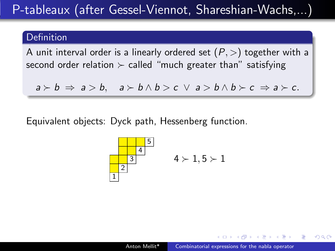#### Definition

A unit interval order is a linearly ordered set  $(P,>)$  together with a second order relation  $\succ$  called "much greater than" satisfying

 $a \succ b \Rightarrow a \gt b$ ,  $a \succ b \land b \gt c \lor a \gt b \land b \succ c \Rightarrow a \succ c$ .

Equivalent objects: Dyck path, Hessenberg function.

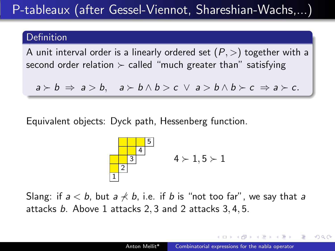#### Definition

A unit interval order is a linearly ordered set  $(P,>)$  together with a second order relation  $\succ$  called "much greater than" satisfying

 $a \succ b \Rightarrow a \gt b$ ,  $a \succ b \land b \gt c \lor a \gt b \land b \succ c \Rightarrow a \succ c$ .

Equivalent objects: Dyck path, Hessenberg function.



Slang: if  $a < b$ , but  $a \nless b$ , i.e. if b is "not too far", we say that a attacks b. Above 1 attacks 2, 3 and 2 attacks 3, 4, 5.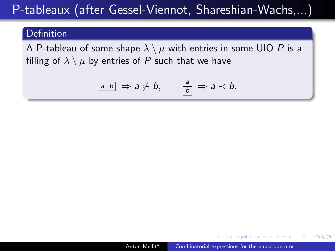#### Definition

A P-tableau of some shape  $\lambda \setminus \mu$  with entries in some UIO P is a filling of  $\lambda \setminus \mu$  by entries of P such that we have

$$
\boxed{ab} \Rightarrow a \not\succ b, \qquad \boxed{\frac{a}{b}} \Rightarrow a \prec b.
$$

**The South Book**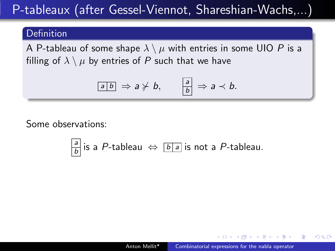#### Definition

A P-tableau of some shape  $\lambda \setminus \mu$  with entries in some UIO P is a filling of  $\lambda \setminus \mu$  by entries of P such that we have

$$
\boxed{ab} \Rightarrow a \not\succ b, \qquad \boxed{\frac{a}{b}} \Rightarrow a \prec b.
$$

Some observations:

$$
\frac{a}{b}
$$
 is a *P*-tableau  $\Leftrightarrow$   $\boxed{b|a}$  is not a *P*-tableau.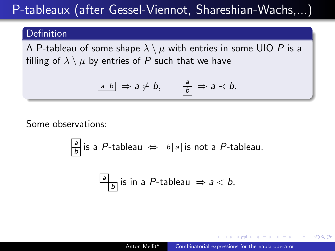#### Definition

A P-tableau of some shape  $\lambda \setminus \mu$  with entries in some UIO P is a filling of  $\lambda \setminus \mu$  by entries of P such that we have

$$
\boxed{ab} \Rightarrow a \not\succ b, \qquad \boxed{\frac{a}{b}} \Rightarrow a \prec b.
$$

Some observations:

$$
\left|\frac{a}{b}\right|
$$
 is a *P*-tableau  $\Leftrightarrow$   $\left|b\right|a$  is not a *P*-tableau.

$$
\boxed{\frac{a}{b}}
$$
 is in a *P*-tableau  $\Rightarrow$  a < b.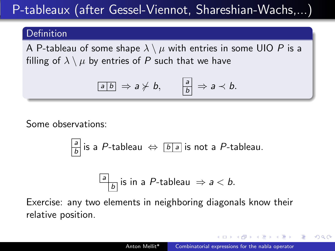#### Definition

A P-tableau of some shape  $\lambda \setminus \mu$  with entries in some UIO P is a filling of  $\lambda \setminus \mu$  by entries of P such that we have

$$
\boxed{ab} \Rightarrow a \not\succ b, \qquad \boxed{\frac{a}{b}} \Rightarrow a \prec b.
$$

Some observations:

$$
\left|\frac{a}{b}\right|
$$
 is a *P*-tableau  $\Leftrightarrow$   $\left|b\right|a$  is not a *P*-tableau.

$$
\boxed{\frac{a}{b}}
$$
 is in a *P*-tableau  $\Rightarrow$  a < b.

Exercise: any two elements in neighboring diagonals know their relative position.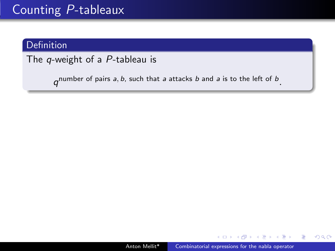## Counting P-tableaux

### Definition

The q-weight of a P-tableau is

 $q^{\text{number of pairs } a, b, \text{ such that } a \text{ attacks } b \text{ and } a \text{ is to the left of } b}.$ 

 $\sim$   $\sim$ 

御 ▶ す 君 ▶ す 君 ▶

つくへ

∍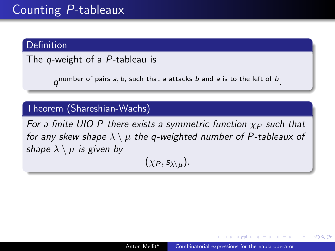## Counting P-tableaux

#### **Definition**

The *q*-weight of a P-tableau is

 $q^{\text{number of pairs } a, b, \text{ such that } a \text{ attacks } b \text{ and } a \text{ is to the left of } b}.$ 

#### Theorem (Shareshian-Wachs)

For a finite UIO P there exists a symmetric function  $\chi_P$  such that for any skew shape  $\lambda \setminus \mu$  the q-weighted number of P-tableaux of shape  $\lambda \setminus \mu$  is given by

$$
(\chi_P, \mathsf{s}_{\lambda \setminus \mu}).
$$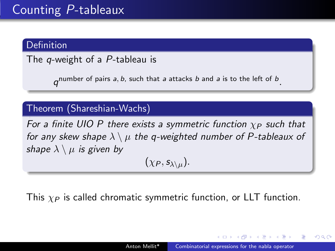## Counting P-tableaux

#### **Definition**

The q-weight of a P-tableau is

 $q^{\text{number of pairs } a, b, \text{ such that } a \text{ attacks } b \text{ and } a \text{ is to the left of } b}.$ 

#### Theorem (Shareshian-Wachs)

For a finite UIO P there exists a symmetric function  $\chi_P$  such that for any skew shape  $\lambda \setminus \mu$  the q-weighted number of P-tableaux of shape  $\lambda \setminus \mu$  is given by

 $(\chi_P, s_{\lambda\setminus\mu}).$ 

This  $\chi_P$  is called chromatic symmetric function, or LLT function.

**何 ト ィヨ ト ィヨ ト**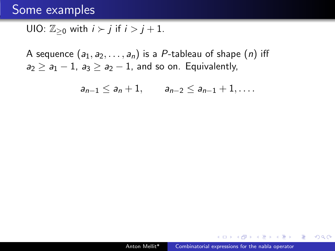UIO:  $\mathbb{Z}_{\geq 0}$  with  $i \succ j$  if  $i > j + 1$ .

A sequence  $(a_1, a_2, \ldots, a_n)$  is a P-tableau of shape  $(n)$  iff  $a_2 \ge a_1 - 1$ ,  $a_3 \ge a_2 - 1$ , and so on. Equivalently,

 $a_{n-1} \leq a_n + 1, \qquad a_{n-2} \leq a_{n-1} + 1, \ldots$ 

 $299$ 

押 ▶ イヨ ▶ イヨ ▶ │ ヨ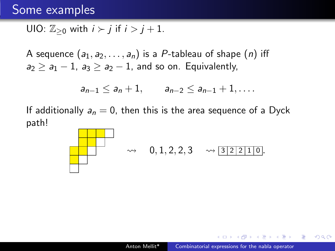$$
\text{UIO: } \mathbb{Z}_{\geq 0} \text{ with } i \succ j \text{ if } i > j+1.
$$

A sequence  $(a_1, a_2, \ldots, a_n)$  is a P-tableau of shape  $(n)$  iff  $a_2 \ge a_1 - 1$ ,  $a_3 \ge a_2 - 1$ , and so on. Equivalently,

$$
a_{n-1} \le a_n + 1
$$
,  $a_{n-2} \le a_{n-1} + 1$ ,...

If additionally  $a_n = 0$ , then this is the area sequence of a Dyck path!



**NATION** 

 $\Omega$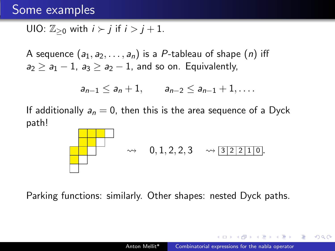$$
\text{UIO: } \mathbb{Z}_{\geq 0} \text{ with } i \succ j \text{ if } i > j+1.
$$

A sequence  $(a_1, a_2, \ldots, a_n)$  is a P-tableau of shape  $(n)$  iff  $a_2 \ge a_1 - 1$ ,  $a_3 \ge a_2 - 1$ , and so on. Equivalently,

$$
a_{n-1} \le a_n + 1
$$
,  $a_{n-2} \le a_{n-1} + 1$ ,...

If additionally  $a_n = 0$ , then this is the area sequence of a Dyck path!



Parking functions: similarly. Other shapes: nested Dyck paths.

A & Y B & Y B &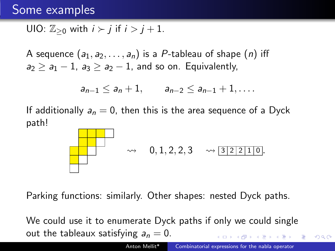$$
\text{UIO: } \mathbb{Z}_{\geq 0} \text{ with } i \succ j \text{ if } i > j+1.
$$

A sequence  $(a_1, a_2, \ldots, a_n)$  is a P-tableau of shape  $(n)$  iff  $a_2 \ge a_1 - 1$ ,  $a_3 \ge a_2 - 1$ , and so on. Equivalently,

$$
a_{n-1} \le a_n + 1
$$
,  $a_{n-2} \le a_{n-1} + 1$ ,...

If additionally  $a_n = 0$ , then this is the area sequence of a Dyck path!



Parking functions: similarly. Other shapes: nested Dyck paths.

We could use it to enumerate Dyck paths if only we could single out the tableaux satisfying  $a_n = 0$ .

 $QQ$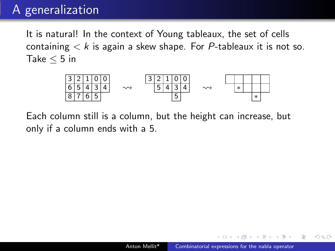## A generalization

It is natural! In the context of Young tableaux, the set of cells containing  $\lt k$  is again a skew shape. For P-tableaux it is not so. Take  $\leq 5$  in



Each column still is a column, but the height can increase, but only if a column ends with a 5.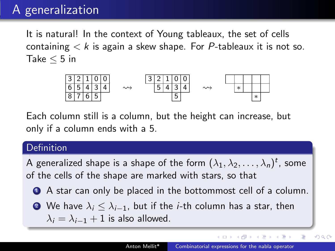## A generalization

It is natural! In the context of Young tableaux, the set of cells containing  $\lt k$  is again a skew shape. For P-tableaux it is not so. Take  $\leq 5$  in



Each column still is a column, but the height can increase, but only if a column ends with a 5.

#### Definition

A generalized shape is a shape of the form  $(\lambda_1, \lambda_2, \ldots, \lambda_n)^t$ , some of the cells of the shape are marked with stars, so that

- <sup>1</sup> A star can only be placed in the bottommost cell of a column.
- **2** We have  $\lambda_i \leq \lambda_{i-1}$ , but if the *i*-th column has a star, then  $\lambda_i = \lambda_{i-1} + 1$  is also allowed.

**≮ロト ⊀何ト ⊀ ヨト ⊀ ヨト** 

 $QQ$ 

∍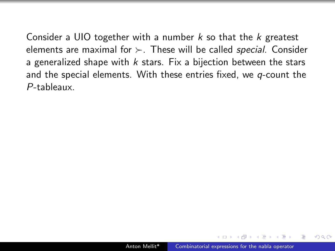Consider a UIO together with a number  $k$  so that the  $k$  greatest elements are maximal for  $\succ$ . These will be called special. Consider a generalized shape with  $k$  stars. Fix a bijection between the stars and the special elements. With these entries fixed, we  $q$ -count the P-tableaux.

つへへ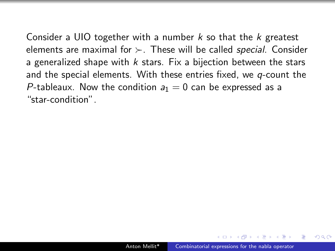Consider a UIO together with a number  $k$  so that the  $k$  greatest elements are maximal for  $\succ$ . These will be called special. Consider a generalized shape with  $k$  stars. Fix a bijection between the stars and the special elements. With these entries fixed, we  $q$ -count the P-tableaux. Now the condition  $a_1 = 0$  can be expressed as a "star-condition".

つへへ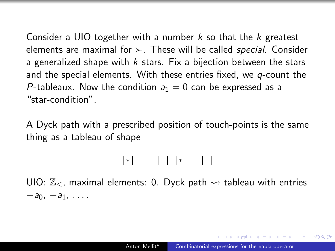Consider a UIO together with a number  $k$  so that the  $k$  greatest elements are maximal for  $\succ$ . These will be called *special*. Consider a generalized shape with  $k$  stars. Fix a bijection between the stars and the special elements. With these entries fixed, we  $q$ -count the P-tableaux. Now the condition  $a_1 = 0$  can be expressed as a "star-condition".

A Dyck path with a prescribed position of touch-points is the same thing as a tableau of shape

### ∗ ∗

UIO:  $\mathbb{Z}_{\leq}$ , maximal elements: 0. Dyck path  $\rightsquigarrow$  tableau with entries  $-a_0, -a_1, \ldots$ 

**STEP AT LAND**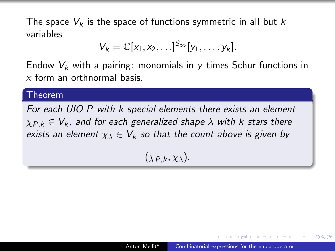The space  $V_k$  is the space of functions symmetric in all but k variables

$$
V_k=\mathbb{C}[x_1,x_2,\ldots]^{S_{\infty}}[y_1,\ldots,y_k].
$$

Endow  $V_k$  with a pairing: monomials in y times Schur functions in x form an orthnormal basis.

#### Theorem

For each UIO P with k special elements there exists an element  $\chi_{P,k} \in V_k$ , and for each generalized shape  $\lambda$  with k stars there exists an element  $\chi_{\lambda} \in V_k$  so that the count above is given by

## $(\chi_{P,k}, \chi_{\lambda}).$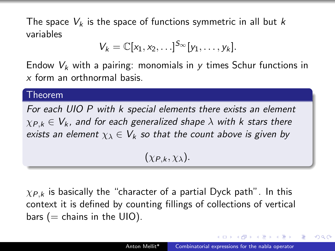The space  $V_k$  is the space of functions symmetric in all but k variables

$$
V_k=\mathbb{C}[x_1,x_2,\ldots]^{S_\infty}[y_1,\ldots,y_k].
$$

Endow  $V_k$  with a pairing: monomials in y times Schur functions in x form an orthnormal basis.

#### Theorem

For each UIO P with k special elements there exists an element  $\chi_{P,k} \in V_k$ , and for each generalized shape  $\lambda$  with k stars there exists an element  $\chi_{\lambda} \in V_k$  so that the count above is given by

### $(\chi_{P,k}, \chi_{\lambda}).$

 $\chi_{P,k}$  is basically the "character of a partial Dyck path". In this context it is defined by counting fillings of collections of vertical bars  $(=$  chains in the UIO).

A & Y E & Y E &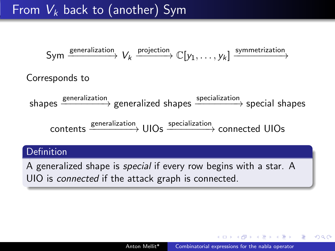# From  $V_k$  back to (another) Sym

$$
Sym \xrightarrow{\text{generalization}} V_k \xrightarrow{\text{projection}} \mathbb{C}[y_1, \dots, y_k] \xrightarrow{\text{symmetrization}}
$$
\n
$$
Corresponds to
$$
\n
$$
shapes \xrightarrow{\text{generalization}} \text{generalized shapes} \xrightarrow{\text{specialization}} \text{special shape}
$$
\n
$$
contents \xrightarrow{\text{generalization}} \text{UIOs} \xrightarrow{\text{specialization}} \text{connected UIOs}
$$

#### **Definition**

A generalized shape is special if every row begins with a star. A UIO is *connected* if the attack graph is connected.

 $QQ$ 

医阿里氏阿里氏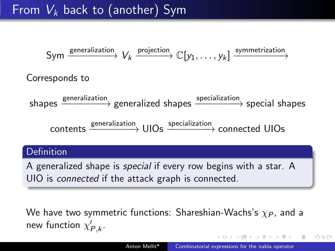# From  $V_k$  back to (another) Sym

$$
Sym \xrightarrow{\text{generalization}} V_k \xrightarrow{\text{projection}} \mathbb{C}[y_1, \dots, y_k] \xrightarrow{\text{symmetrization}}
$$
\n
$$
Corresponds to
$$
\n
$$
shapes \xrightarrow{\text{generalization}} \text{generalized shapes} \xrightarrow{\text{specialization}} \text{special shape}
$$
\n
$$
contents \xrightarrow{\text{generalization}} \text{UIOs} \xrightarrow{\text{specialization}} \text{connected UIOs}
$$

#### **Definition**

A generalized shape is special if every row begins with a star. A UIO is *connected* if the attack graph is connected.

We have two symmetric functions: Shareshian-Wachs's  $\chi_{P}$ , and a new function  $\chi_{P,k}'$ .

 $\mathcal{A} \ \overline{\mathcal{B}} \ \rightarrow \ \mathcal{A} \ \overline{\mathcal{B}} \ \rightarrow$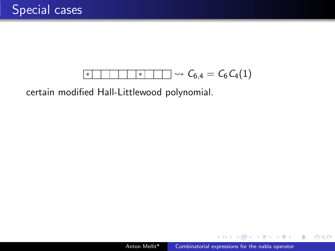### $\overline{\phantom{a}^* \phantom{a}}$   $\overline{\phantom{a}^* \phantom{a}}$   $\overline{\phantom{a}^* \phantom{a}}$   $\overline{\phantom{a}^* \phantom{a}}$   $\overline{\phantom{a}^* \phantom{a}}$   $\overline{\phantom{a}^* \phantom{a}}$   $\overline{\phantom{a}^* \phantom{a}}$   $\overline{\phantom{a}^* \phantom{a}}$   $\overline{\phantom{a}^* \phantom{a}}$   $\overline{\phantom{a}^* \phantom{a}}$   $\overline{\phantom{a}^* \phantom{a}}$

certain modified Hall-Littlewood polynomial.

 $\sim$   $\sim$ 

 $\triangleright$  and  $\equiv$   $\triangleright$  and  $\equiv$   $\triangleright$ 

 $299$ 

э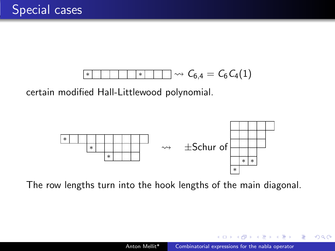

certain modified Hall-Littlewood polynomial.



The row lengths turn into the hook lengths of the main diagonal.

 $\alpha$  . The  $\alpha$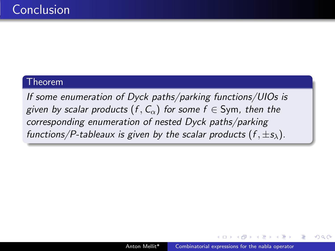#### Theorem

If some enumeration of Dyck paths/parking functions/UIOs is given by scalar products  $(f, C_{\alpha})$  for some  $f \in Sym$ , then the corresponding enumeration of nested Dyck paths/parking functions/P-tableaux is given by the scalar products  $(f, \pm s_\lambda)$ .

 $\triangleright$  and  $\equiv$   $\triangleright$  and  $\equiv$   $\triangleright$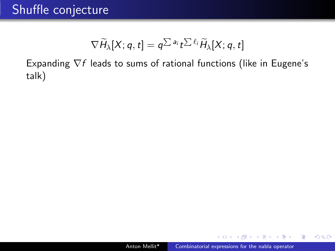## Shuffle conjecture

$$
\nabla \widetilde{H}_{\lambda}[X; q, t] = q^{\sum a_i} t^{\sum \ell_i} \widetilde{H}_{\lambda}[X; q, t]
$$

Expanding  $\nabla f$  leads to sums of rational functions (like in Eugene's talk)

 $2Q$ 

化重 的现在  $\equiv$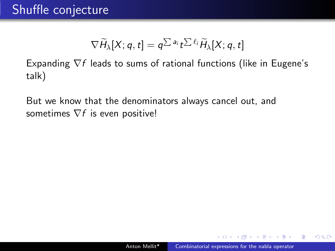$$
\nabla \widetilde{H}_{\lambda}[X; q, t] = q^{\sum a_i} t^{\sum \ell_i} \widetilde{H}_{\lambda}[X; q, t]
$$

Expanding  $\nabla f$  leads to sums of rational functions (like in Eugene's talk)

But we know that the denominators always cancel out, and sometimes  $\nabla f$  is even positive!

医骨盆 医骨

つへへ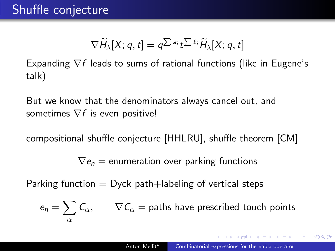$$
\nabla \widetilde{H}_{\lambda}[X; q, t] = q^{\sum a_i} t^{\sum \ell_i} \widetilde{H}_{\lambda}[X; q, t]
$$

Expanding  $\nabla f$  leads to sums of rational functions (like in Eugene's talk)

But we know that the denominators always cancel out, and sometimes  $\nabla f$  is even positive!

compositional shuffle conjecture [HHLRU], shuffle theorem [CM]

 $\nabla e_n$  = enumeration over parking functions

Parking function  $=$  Dyck path+labeling of vertical steps

$$
e_n = \sum_{\alpha} C_{\alpha}, \qquad \nabla C_{\alpha} = \text{paths have prescribed touch points}
$$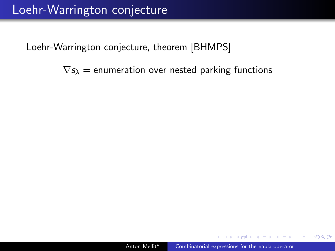$\nabla s_\lambda$  = enumeration over nested parking functions

**The South Book** 

 $\Omega$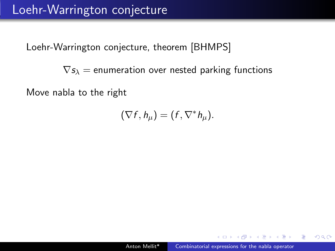$\nabla s_\lambda$  = enumeration over nested parking functions

Move nabla to the right

 $(\nabla f, h_\mu) = (f, \nabla^* h_\mu).$ 

a mara a mara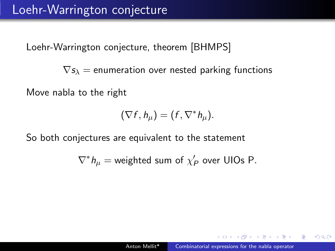$\nabla s_\lambda$  = enumeration over nested parking functions

Move nabla to the right

$$
(\nabla f, h_\mu) = (f, \nabla^* h_\mu).
$$

So both conjectures are equivalent to the statement

$$
\nabla^* h_\mu = \text{weighted sum of } \chi_P' \text{ over UIOs P.}
$$

 $\Omega$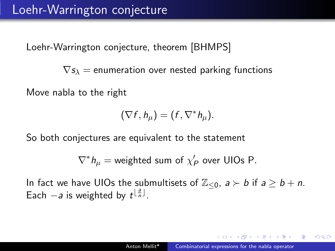$\nabla s_\lambda$  = enumeration over nested parking functions

Move nabla to the right

$$
(\nabla f, h_\mu) = (f, \nabla^* h_\mu).
$$

So both conjectures are equivalent to the statement

$$
\nabla^* h_\mu = \text{weighted sum of } \chi_P' \text{ over UIOs P.}
$$

In fact we have UIOs the submultisets of  $\mathbb{Z}_{\leq 0}$ ,  $a \succ b$  if  $a \geq b + n$ . Each  $-a$  is weighted by  $t^{\lfloor \frac{a}{n} \rfloor}$ .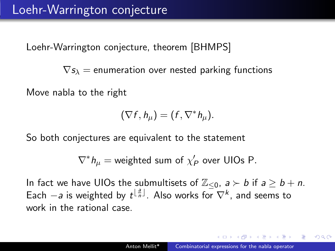$\nabla s_\lambda$  = enumeration over nested parking functions

Move nabla to the right

$$
(\nabla f, h_\mu) = (f, \nabla^* h_\mu).
$$

So both conjectures are equivalent to the statement

$$
\nabla^* h_\mu = \text{weighted sum of } \chi_P' \text{ over UIOs P.}
$$

In fact we have UIOs the submultisets of  $\mathbb{Z}_{\leq 0}$ ,  $a \succ b$  if  $a \geq b + n$ . Each  $-a$  is weighted by  $t^{\lfloor \frac{a}{n} \rfloor}$ . Also works for  $\nabla^k$ , and seems to work in the rational case.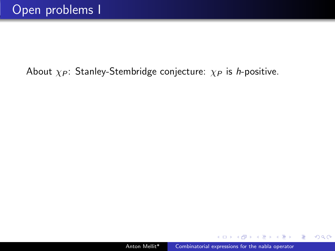$\sim$   $\sim$ 

医阿里氏阿里氏

 $299$ 

э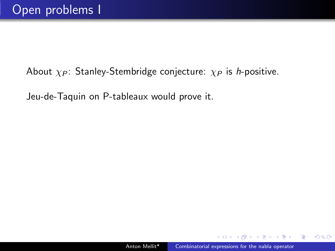Jeu-de-Taquin on P-tableaux would prove it.

 $QQ$ 

化重复化重复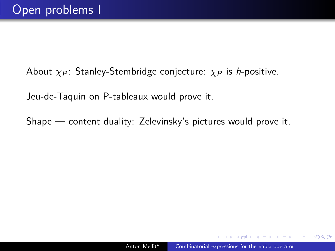Jeu-de-Taquin on P-tableaux would prove it.

Shape — content duality: Zelevinsky's pictures would prove it.

 $QQ$ 

**ARABA**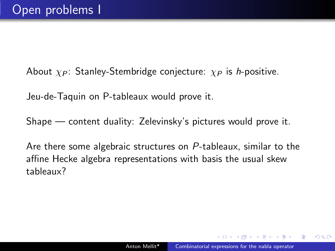Jeu-de-Taquin on P-tableaux would prove it.

Shape — content duality: Zelevinsky's pictures would prove it.

Are there some algebraic structures on P-tableaux, similar to the affine Hecke algebra representations with basis the usual skew tableaux?

つへへ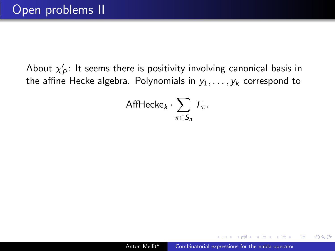About  $\chi'_P$ : It seems there is positivity involving canonical basis in the affine Hecke algebra. Polynomials in  $y_1, \ldots, y_k$  correspond to

AffHecke
$$
_k \cdot \sum_{\pi \in S_n} T_{\pi}
$$
.

 $\triangleright$  and  $\equiv$   $\triangleright$  and  $\equiv$   $\triangleright$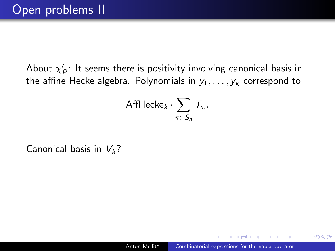About  $\chi'_P$ : It seems there is positivity involving canonical basis in the affine Hecke algebra. Polynomials in  $y_1, \ldots, y_k$  correspond to

AffHecke
$$
_k \cdot \sum_{\pi \in S_n} T_{\pi}
$$
.

Canonical basis in  $V_k$ ?

a mara a mara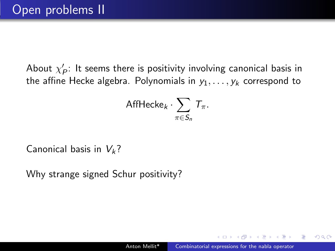About  $\chi'_P$ : It seems there is positivity involving canonical basis in the affine Hecke algebra. Polynomials in  $y_1, \ldots, y_k$  correspond to

AffHecke
$$
_k \cdot \sum_{\pi \in S_n} T_{\pi}
$$
.

Canonical basis in  $V_k$ ?

Why strange signed Schur positivity?

a mara a mara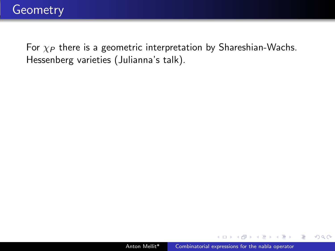$299$ 

化重复化重复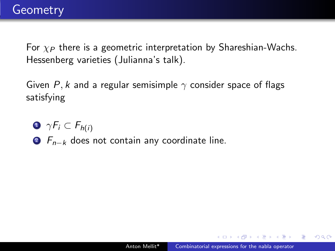Given P, k and a regular semisimple  $\gamma$  consider space of flags satisfying

$$
\bullet \ \gamma F_i \subset F_{h(i)}
$$

**2**  $F_{n-k}$  does not contain any coordinate line.

**NATION** 

 $\Omega$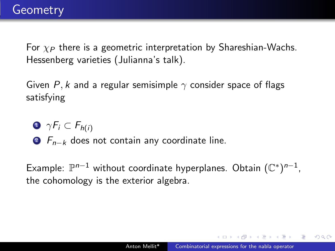Given P, k and a regular semisimple  $\gamma$  consider space of flags satisfying

- $\bullet \ \gamma F_i \subset F_{h(i)}$
- **2**  $F_{n-k}$  does not contain any coordinate line.

Example:  $\mathbb{P}^{n-1}$  without coordinate hyperplanes. Obtain  $(\mathbb{C}^*)^{n-1}$ , the cohomology is the exterior algebra.

 $\Omega$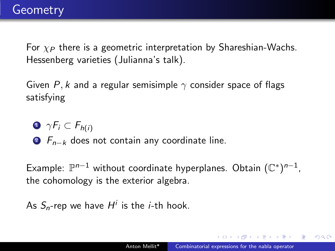Given P, k and a regular semisimple  $\gamma$  consider space of flags satisfying

 $\bullet \ \gamma F_i \subset F_{h(i)}$ 

**2**  $F_{n-k}$  does not contain any coordinate line.

Example:  $\mathbb{P}^{n-1}$  without coordinate hyperplanes. Obtain  $(\mathbb{C}^*)^{n-1}$ , the cohomology is the exterior algebra.

As  $S_n$ -rep we have  $H^i$  is the *i*-th hook.